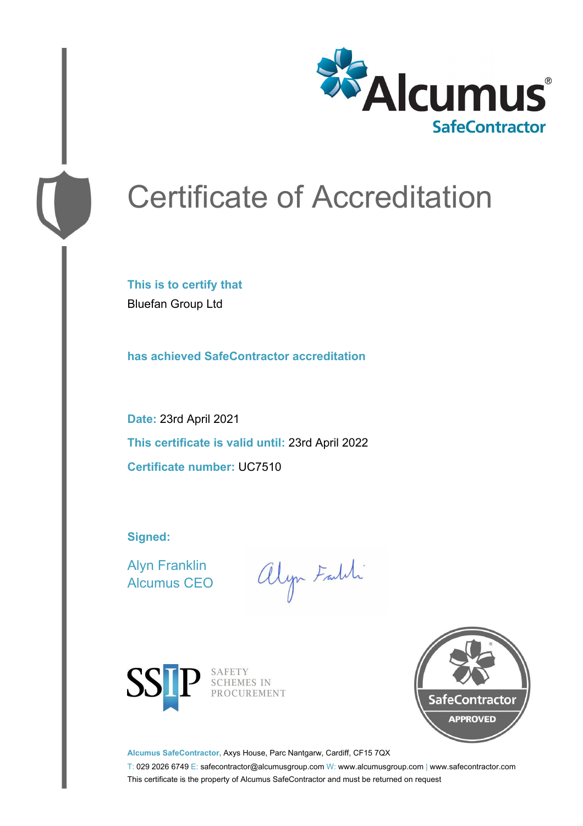

# Certificate of Accreditation

**This is to certify that** Bluefan Group Ltd

**has achieved SafeContractor accreditation**

**Date:** 23rd April 2021 **This certificate is valid until:** 23rd April 2022 **Certificate number:** UC7510

**Signed:**

Alyn Franklin Alcumus CEO

alyn Faith



SAFETY<br>SCHEMES IN PROCUREMENT



**Alcumus SafeContractor,** Axys House, Parc Nantgarw, Cardiff, CF15 7QX

T: 029 2026 6749 E: safecontractor@alcumusgroup.com W: www.alcumusgroup.com | www.safecontractor.com This certificate is the property of Alcumus SafeContractor and must be returned on request